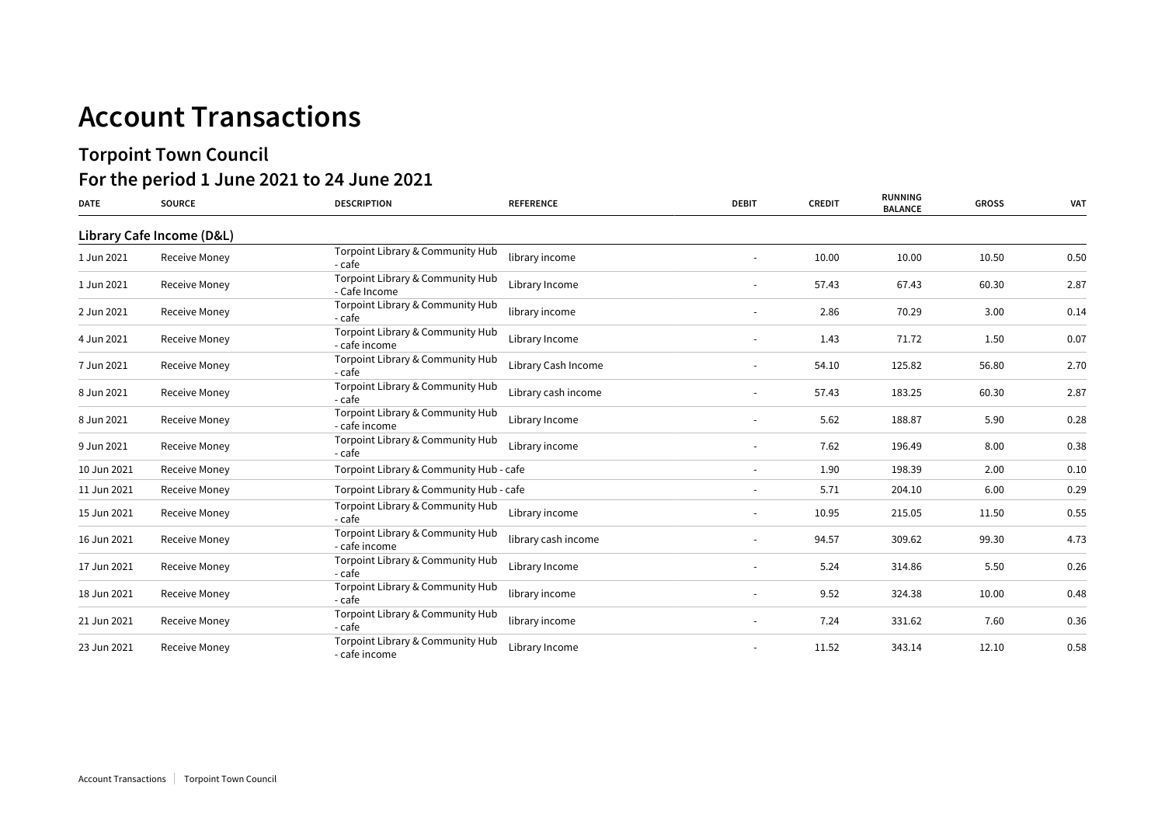## **Account Transactions**

## **Torpoint Town Council For the period 1 June 2021 to 24 June 2021**

| <b>DATE</b> | <b>SOURCE</b>             | <b>DESCRIPTION</b>                                | <b>REFERENCE</b>    | <b>DEBIT</b> | <b>CREDIT</b> | <b>RUNNING</b><br><b>BALANCE</b> | <b>GROSS</b> | <b>VAT</b> |
|-------------|---------------------------|---------------------------------------------------|---------------------|--------------|---------------|----------------------------------|--------------|------------|
|             | Library Cafe Income (D&L) |                                                   |                     |              |               |                                  |              |            |
| 1 Jun 2021  | Receive Money             | Torpoint Library & Community Hub<br>- cafe        | library income      |              | 10.00         | 10.00                            | 10.50        | 0.50       |
| 1 Jun 2021  | Receive Money             | Torpoint Library & Community Hub<br>- Cafe Income | Library Income      |              | 57.43         | 67.43                            | 60.30        | 2.87       |
| 2 Jun 2021  | Receive Money             | Torpoint Library & Community Hub<br>- cafe        | library income      |              | 2.86          | 70.29                            | 3.00         | 0.14       |
| 4 Jun 2021  | Receive Money             | Torpoint Library & Community Hub<br>- cafe income | Library Income      |              | 1.43          | 71.72                            | 1.50         | 0.07       |
| 7 Jun 2021  | Receive Money             | Torpoint Library & Community Hub<br>- cafe        | Library Cash Income |              | 54.10         | 125.82                           | 56.80        | 2.70       |
| 8 Jun 2021  | Receive Money             | Torpoint Library & Community Hub<br>- cafe        | Library cash income |              | 57.43         | 183.25                           | 60.30        | 2.87       |
| 8 Jun 2021  | Receive Money             | Torpoint Library & Community Hub<br>- cafe income | Library Income      |              | 5.62          | 188.87                           | 5.90         | 0.28       |
| 9 Jun 2021  | Receive Money             | Torpoint Library & Community Hub<br>- cafe        | Library income      |              | 7.62          | 196.49                           | 8.00         | 0.38       |
| 10 Jun 2021 | Receive Money             | Torpoint Library & Community Hub - cafe           |                     | $\sim$       | 1.90          | 198.39                           | 2.00         | 0.10       |
| 11 Jun 2021 | Receive Money             | Torpoint Library & Community Hub - cafe           |                     |              | 5.71          | 204.10                           | 6.00         | 0.29       |
| 15 Jun 2021 | Receive Money             | Torpoint Library & Community Hub<br>- cafe        | Library income      |              | 10.95         | 215.05                           | 11.50        | 0.55       |
| 16 Jun 2021 | Receive Money             | Torpoint Library & Community Hub<br>- cafe income | library cash income |              | 94.57         | 309.62                           | 99.30        | 4.73       |
| 17 Jun 2021 | Receive Money             | Torpoint Library & Community Hub<br>- cafe        | Library Income      |              | 5.24          | 314.86                           | 5.50         | 0.26       |
| 18 Jun 2021 | Receive Money             | Torpoint Library & Community Hub<br>- cafe        | library income      |              | 9.52          | 324.38                           | 10.00        | 0.48       |
| 21 Jun 2021 | Receive Money             | Torpoint Library & Community Hub<br>- cafe        | library income      |              | 7.24          | 331.62                           | 7.60         | 0.36       |
| 23 Jun 2021 | Receive Money             | Torpoint Library & Community Hub<br>- cafe income | Library Income      |              | 11.52         | 343.14                           | 12.10        | 0.58       |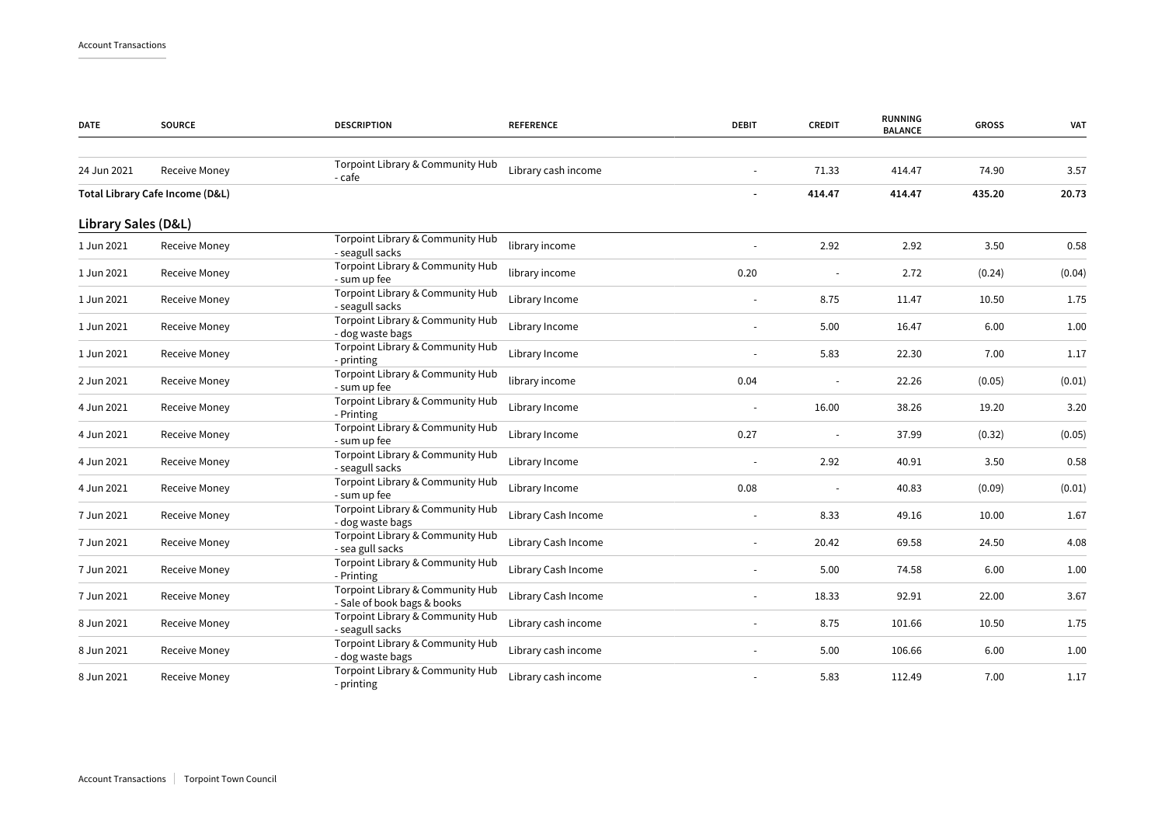| <b>DATE</b>         | <b>SOURCE</b>                   | <b>DESCRIPTION</b>                                              | <b>REFERENCE</b>    | <b>DEBIT</b> | <b>CREDIT</b> | <b>RUNNING</b><br><b>BALANCE</b> | <b>GROSS</b> | <b>VAT</b> |
|---------------------|---------------------------------|-----------------------------------------------------------------|---------------------|--------------|---------------|----------------------------------|--------------|------------|
| 24 Jun 2021         | Receive Money                   | Torpoint Library & Community Hub<br>- cafe                      | Library cash income |              | 71.33         | 414.47                           | 74.90        | 3.57       |
|                     | Total Library Cafe Income (D&L) |                                                                 |                     |              | 414.47        | 414.47                           | 435.20       | 20.73      |
| Library Sales (D&L) |                                 |                                                                 |                     |              |               |                                  |              |            |
| 1 Jun 2021          | Receive Money                   | Torpoint Library & Community Hub<br>- seagull sacks             | library income      |              | 2.92          | 2.92                             | 3.50         | 0.58       |
| 1 Jun 2021          | Receive Money                   | Torpoint Library & Community Hub<br>- sum up fee                | library income      | 0.20         |               | 2.72                             | (0.24)       | (0.04)     |
| 1 Jun 2021          | Receive Money                   | Torpoint Library & Community Hub<br>- seagull sacks             | Library Income      |              | 8.75          | 11.47                            | 10.50        | 1.75       |
| 1 Jun 2021          | Receive Money                   | Torpoint Library & Community Hub<br>- dog waste bags            | Library Income      |              | 5.00          | 16.47                            | 6.00         | 1.00       |
| 1 Jun 2021          | Receive Money                   | Torpoint Library & Community Hub<br>- printing                  | Library Income      |              | 5.83          | 22.30                            | 7.00         | 1.17       |
| 2 Jun 2021          | Receive Money                   | Torpoint Library & Community Hub<br>- sum up fee                | library income      | 0.04         |               | 22.26                            | (0.05)       | (0.01)     |
| 4 Jun 2021          | Receive Money                   | Torpoint Library & Community Hub<br>- Printing                  | Library Income      |              | 16.00         | 38.26                            | 19.20        | 3.20       |
| 4 Jun 2021          | Receive Money                   | Torpoint Library & Community Hub<br>- sum up fee                | Library Income      | 0.27         | $\sim$        | 37.99                            | (0.32)       | (0.05)     |
| 4 Jun 2021          | Receive Money                   | Torpoint Library & Community Hub<br>- seagull sacks             | Library Income      |              | 2.92          | 40.91                            | 3.50         | 0.58       |
| 4 Jun 2021          | Receive Money                   | Torpoint Library & Community Hub<br>- sum up fee                | Library Income      | 0.08         |               | 40.83                            | (0.09)       | (0.01)     |
| 7 Jun 2021          | <b>Receive Money</b>            | Torpoint Library & Community Hub<br>- dog waste bags            | Library Cash Income |              | 8.33          | 49.16                            | 10.00        | 1.67       |
| 7 Jun 2021          | Receive Money                   | Torpoint Library & Community Hub<br>- sea gull sacks            | Library Cash Income |              | 20.42         | 69.58                            | 24.50        | 4.08       |
| 7 Jun 2021          | Receive Money                   | Torpoint Library & Community Hub<br>- Printing                  | Library Cash Income |              | 5.00          | 74.58                            | 6.00         | 1.00       |
| 7 Jun 2021          | Receive Money                   | Torpoint Library & Community Hub<br>- Sale of book bags & books | Library Cash Income |              | 18.33         | 92.91                            | 22.00        | 3.67       |
| 8 Jun 2021          | Receive Money                   | Torpoint Library & Community Hub<br>- seagull sacks             | Library cash income |              | 8.75          | 101.66                           | 10.50        | 1.75       |
| 8 Jun 2021          | Receive Money                   | Torpoint Library & Community Hub<br>- dog waste bags            | Library cash income |              | 5.00          | 106.66                           | 6.00         | 1.00       |
| 8 Jun 2021          | Receive Money                   | Torpoint Library & Community Hub<br>- printing                  | Library cash income |              | 5.83          | 112.49                           | 7.00         | 1.17       |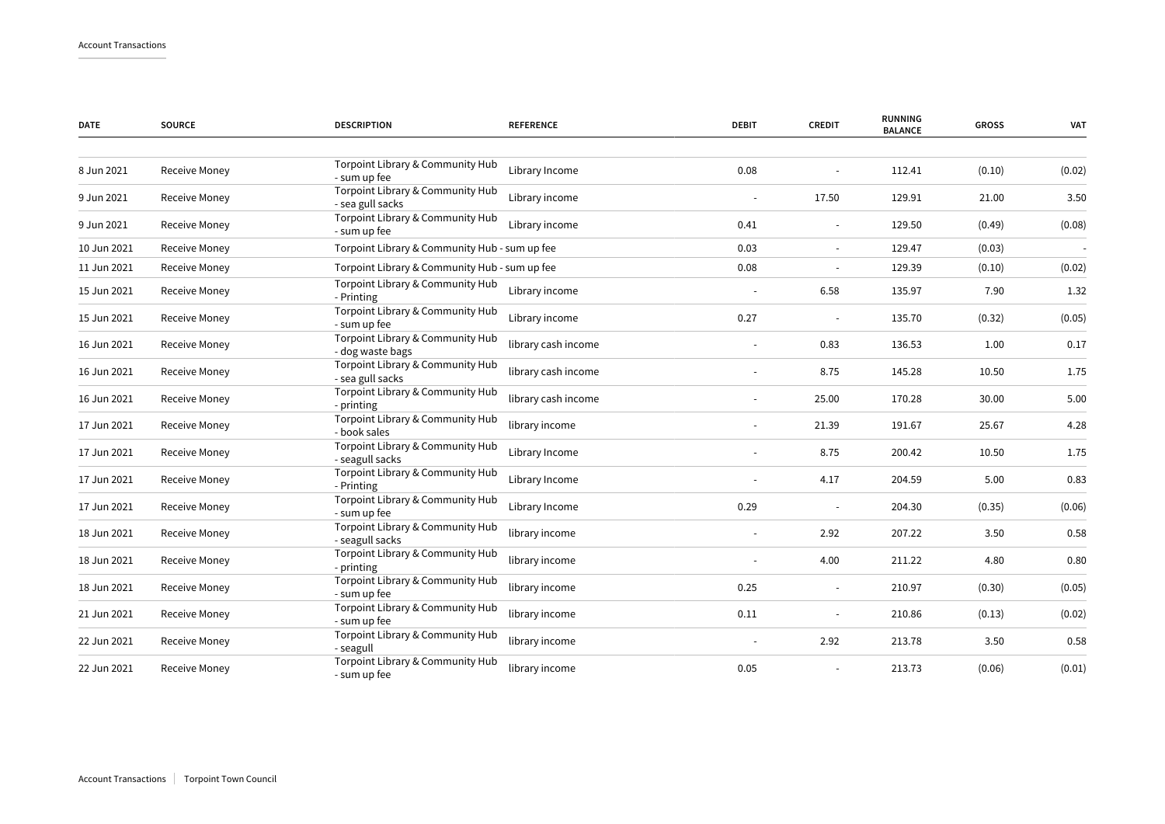| <b>DATE</b> | <b>SOURCE</b>        | <b>DESCRIPTION</b>                                   | <b>REFERENCE</b>    | <b>DEBIT</b> | <b>CREDIT</b>            | <b>RUNNING</b><br><b>BALANCE</b> | <b>GROSS</b> | <b>VAT</b> |
|-------------|----------------------|------------------------------------------------------|---------------------|--------------|--------------------------|----------------------------------|--------------|------------|
|             |                      |                                                      |                     |              |                          |                                  |              |            |
| 8 Jun 2021  | Receive Money        | Torpoint Library & Community Hub<br>- sum up fee     | Library Income      | 0.08         |                          | 112.41                           | (0.10)       | (0.02)     |
| 9 Jun 2021  | Receive Money        | Torpoint Library & Community Hub<br>- sea gull sacks | Library income      |              | 17.50                    | 129.91                           | 21.00        | 3.50       |
| 9 Jun 2021  | Receive Money        | Torpoint Library & Community Hub<br>- sum up fee     | Library income      | 0.41         | $\sim$                   | 129.50                           | (0.49)       | (0.08)     |
| 10 Jun 2021 | <b>Receive Money</b> | Torpoint Library & Community Hub - sum up fee        |                     | 0.03         | $\blacksquare$           | 129.47                           | (0.03)       |            |
| 11 Jun 2021 | Receive Money        | Torpoint Library & Community Hub - sum up fee        |                     | 0.08         |                          | 129.39                           | (0.10)       | (0.02)     |
| 15 Jun 2021 | Receive Money        | Torpoint Library & Community Hub<br>- Printing       | Library income      |              | 6.58                     | 135.97                           | 7.90         | 1.32       |
| 15 Jun 2021 | Receive Money        | Torpoint Library & Community Hub<br>- sum up fee     | Library income      | 0.27         |                          | 135.70                           | (0.32)       | (0.05)     |
| 16 Jun 2021 | Receive Money        | Torpoint Library & Community Hub<br>- dog waste bags | library cash income |              | 0.83                     | 136.53                           | 1.00         | 0.17       |
| 16 Jun 2021 | Receive Money        | Torpoint Library & Community Hub<br>- sea gull sacks | library cash income |              | 8.75                     | 145.28                           | 10.50        | 1.75       |
| 16 Jun 2021 | Receive Money        | Torpoint Library & Community Hub<br>- printing       | library cash income |              | 25.00                    | 170.28                           | 30.00        | 5.00       |
| 17 Jun 2021 | Receive Money        | Torpoint Library & Community Hub<br>- book sales     | library income      |              | 21.39                    | 191.67                           | 25.67        | 4.28       |
| 17 Jun 2021 | Receive Money        | Torpoint Library & Community Hub<br>- seagull sacks  | Library Income      |              | 8.75                     | 200.42                           | 10.50        | 1.75       |
| 17 Jun 2021 | Receive Money        | Torpoint Library & Community Hub<br>- Printing       | Library Income      |              | 4.17                     | 204.59                           | 5.00         | 0.83       |
| 17 Jun 2021 | Receive Money        | Torpoint Library & Community Hub<br>- sum up fee     | Library Income      | 0.29         |                          | 204.30                           | (0.35)       | (0.06)     |
| 18 Jun 2021 | Receive Money        | Torpoint Library & Community Hub<br>- seagull sacks  | library income      |              | 2.92                     | 207.22                           | 3.50         | 0.58       |
| 18 Jun 2021 | Receive Money        | Torpoint Library & Community Hub<br>- printing       | library income      |              | 4.00                     | 211.22                           | 4.80         | 0.80       |
| 18 Jun 2021 | Receive Money        | Torpoint Library & Community Hub<br>- sum up fee     | library income      | 0.25         | $\overline{\phantom{a}}$ | 210.97                           | (0.30)       | (0.05)     |
| 21 Jun 2021 | Receive Money        | Torpoint Library & Community Hub<br>- sum up fee     | library income      | 0.11         |                          | 210.86                           | (0.13)       | (0.02)     |
| 22 Jun 2021 | Receive Money        | Torpoint Library & Community Hub<br>- seagull        | library income      |              | 2.92                     | 213.78                           | 3.50         | 0.58       |
| 22 Jun 2021 | Receive Money        | Torpoint Library & Community Hub<br>- sum up fee     | library income      | 0.05         |                          | 213.73                           | (0.06)       | (0.01)     |